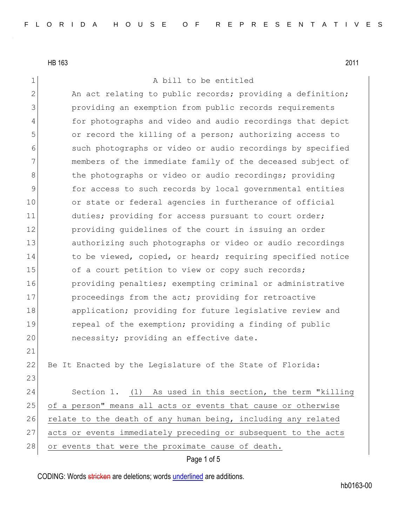## 1 A bill to be entitled

2 An act relating to public records; providing a definition; 3 providing an exemption from public records requirements 4 for photographs and video and audio recordings that depict 5 or record the killing of a person; authorizing access to 6 such photographs or video or audio recordings by specified 7 members of the immediate family of the deceased subject of 8 8 blue photographs or video or audio recordings; providing 9 for access to such records by local governmental entities 10 or state or federal agencies in furtherance of official 11 duties; providing for access pursuant to court order; 12 **providing quidelines of the court in issuing an order** 13 authorizing such photographs or video or audio recordings 14 to be viewed, copied, or heard; requiring specified notice 15 of a court petition to view or copy such records; 16 **providing penalties;** exempting criminal or administrative 17 proceedings from the act; providing for retroactive 18 application; providing for future legislative review and 19 repeal of the exemption; providing a finding of public 20 necessity; providing an effective date. 21 22 Be It Enacted by the Legislature of the State of Florida: 23 24 Section 1. (1) As used in this section, the term "killing 25 of a person" means all acts or events that cause or otherwise 26 relate to the death of any human being, including any related

27 acts or events immediately preceding or subsequent to the acts

28 or events that were the proximate cause of death.

#### Page 1 of 5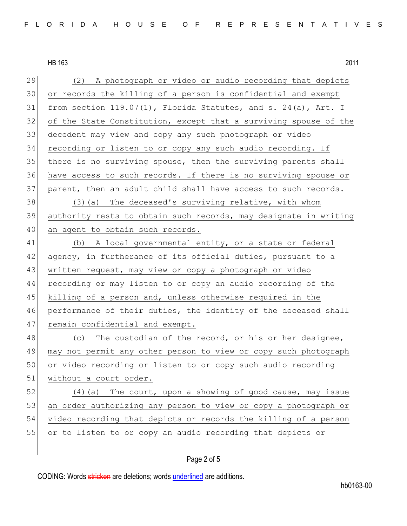| 29 | (2) A photograph or video or audio recording that depicts         |
|----|-------------------------------------------------------------------|
| 30 | or records the killing of a person is confidential and exempt     |
| 31 | from section $119.07(1)$ , Florida Statutes, and s. 24(a), Art. I |
| 32 | of the State Constitution, except that a surviving spouse of the  |
| 33 | decedent may view and copy any such photograph or video           |
| 34 | recording or listen to or copy any such audio recording. If       |
| 35 | there is no surviving spouse, then the surviving parents shall    |
| 36 | have access to such records. If there is no surviving spouse or   |
| 37 | parent, then an adult child shall have access to such records.    |
| 38 | (3) (a) The deceased's surviving relative, with whom              |
| 39 | authority rests to obtain such records, may designate in writing  |
| 40 | an agent to obtain such records.                                  |
| 41 | (b) A local governmental entity, or a state or federal            |
| 42 | agency, in furtherance of its official duties, pursuant to a      |
| 43 | written request, may view or copy a photograph or video           |
| 44 | recording or may listen to or copy an audio recording of the      |
| 45 | killing of a person and, unless otherwise required in the         |
| 46 | performance of their duties, the identity of the deceased shall   |
| 47 | remain confidential and exempt.                                   |
| 48 | (c) The custodian of the record, or his or her designee,          |
| 49 | may not permit any other person to view or copy such photograph   |
| 50 | or video recording or listen to or copy such audio recording      |
| 51 | without a court order.                                            |
| 52 | $(4)$ (a) The court, upon a showing of good cause, may issue      |
| 53 | an order authorizing any person to view or copy a photograph or   |
| 54 | video recording that depicts or records the killing of a person   |
| 55 | or to listen to or copy an audio recording that depicts or        |

# Page 2 of 5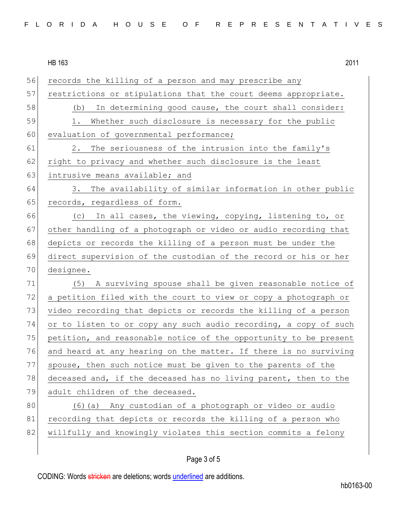56 records the killing of a person and may prescribe any 57 restrictions or stipulations that the court deems appropriate. 58 (b) In determining good cause, the court shall consider: 59 1. Whether such disclosure is necessary for the public 60 evaluation of governmental performance; 61 2. The seriousness of the intrusion into the family's 62 right to privacy and whether such disclosure is the least 63 intrusive means available; and 64 3. The availability of similar information in other public 65 records, regardless of form. 66 (c) In all cases, the viewing, copying, listening to, or 67 other handling of a photograph or video or audio recording that 68 depicts or records the killing of a person must be under the 69 direct supervision of the custodian of the record or his or her 70 designee. 71 (5) A surviving spouse shall be given reasonable notice of 72 a petition filed with the court to view or copy a photograph or 73 video recording that depicts or records the killing of a person 74 or to listen to or copy any such audio recording, a copy of such 75 petition, and reasonable notice of the opportunity to be present 76 and heard at any hearing on the matter. If there is no surviving 77 spouse, then such notice must be given to the parents of the 78 deceased and, if the deceased has no living parent, then to the 79 adult children of the deceased. 80 (6)(a) Any custodian of a photograph or video or audio 81 recording that depicts or records the killing of a person who 82 willfully and knowingly violates this section commits a felony

# Page 3 of 5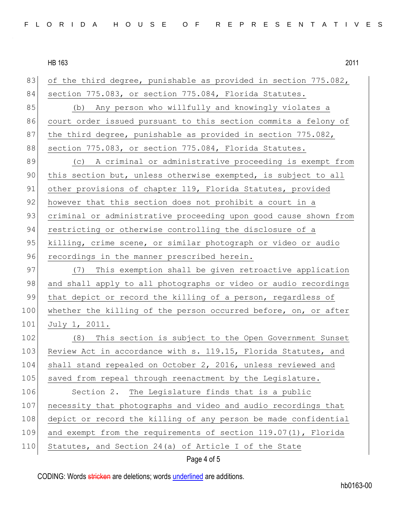HB 163 2011 83 of the third degree, punishable as provided in section 775.082, 84 section 775.083, or section 775.084, Florida Statutes. 85 (b) Any person who willfully and knowingly violates a 86 court order issued pursuant to this section commits a felony of 87 the third degree, punishable as provided in section 775.082, 88 section 775.083, or section 775.084, Florida Statutes. 89 (c) A criminal or administrative proceeding is exempt from 90 this section but, unless otherwise exempted, is subject to all 91 other provisions of chapter 119, Florida Statutes, provided 92 however that this section does not prohibit a court in a 93 criminal or administrative proceeding upon good cause shown from 94 restricting or otherwise controlling the disclosure of a 95 killing, crime scene, or similar photograph or video or audio 96 recordings in the manner prescribed herein. 97 (7) This exemption shall be given retroactive application 98 and shall apply to all photographs or video or audio recordings 99 that depict or record the killing of a person, regardless of 100 whether the killing of the person occurred before, on, or after 101 July 1, 2011. 102 (8) This section is subject to the Open Government Sunset 103 Review Act in accordance with s. 119.15, Florida Statutes, and 104 shall stand repealed on October 2, 2016, unless reviewed and 105 saved from repeal through reenactment by the Legislature. 106 Section 2. The Legislature finds that is a public 107 necessity that photographs and video and audio recordings that 108 depict or record the killing of any person be made confidential 109 and exempt from the requirements of section 119.07(1), Florida 110 Statutes, and Section 24(a) of Article I of the State

## Page 4 of 5